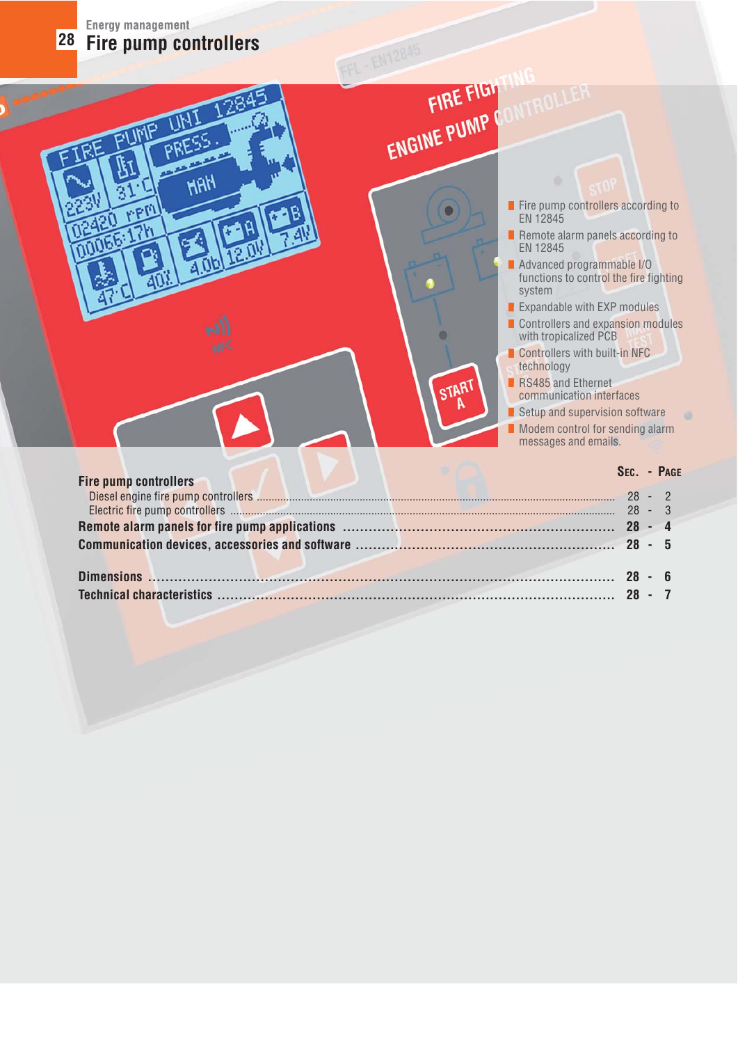|  | <b>Energy management</b> |                          |  |
|--|--------------------------|--------------------------|--|
|  |                          | 28 Fire pump controllers |  |

**PPP** 

**HAH** 

# ENGINE PUMP CON

START

- Fire pump controllers according to EN 12845
- Remote alarm panels according to EN 12845
- Advanced programmable I/O functions to control the fire fighting system
- Expandable with EXP modules
- Controllers and expansion modules with tropicalized PCB
- Controllers with built-in NFC technology
- RS485 and Ethernet
- communication interfaces
- $\blacksquare$  Setup and supervision software
- $\blacksquare$  Modem control for sending alarm messages and emails.

| <b>Fire pump controllers</b> | SEC. - PAGE |  |
|------------------------------|-------------|--|
|                              |             |  |
|                              |             |  |
|                              |             |  |
|                              |             |  |
|                              |             |  |
|                              |             |  |
|                              |             |  |
|                              |             |  |

 $\circ$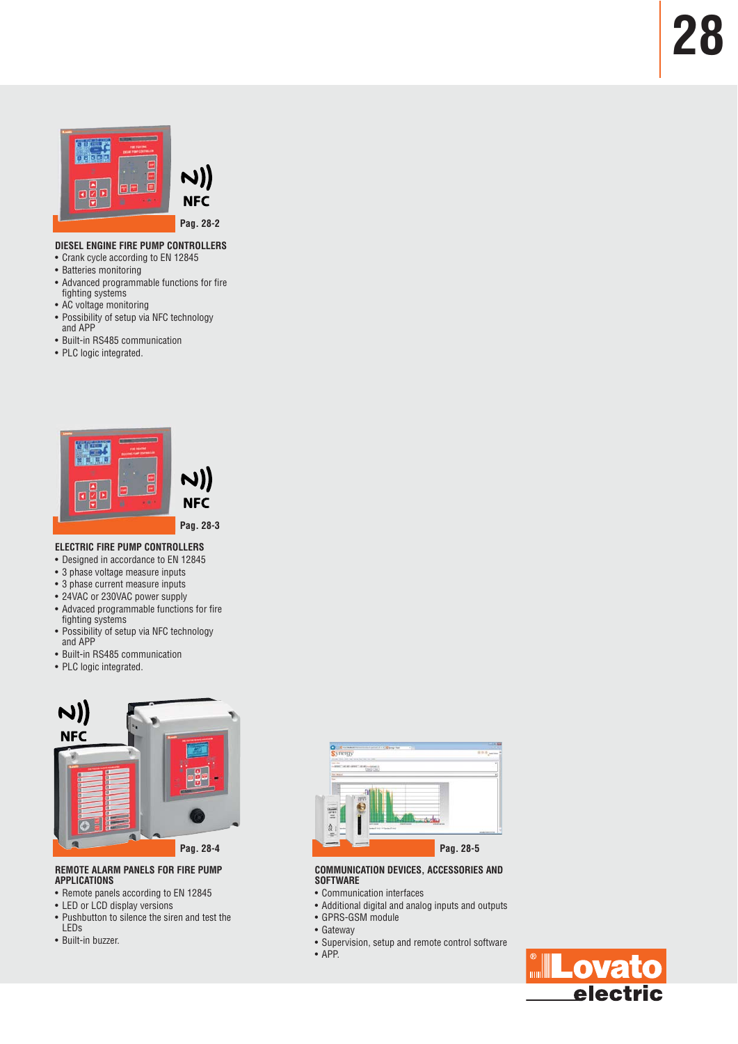



**Pag. 28-2**

#### **DIESEL ENGINE FIRE PUMP CONTROLLERS**

- Crank cycle according to EN 12845
- Batteries monitoring
- Advanced programmable functions for fire fighting systems
- AC voltage monitoring
- Possibility of setup via NFC technology and APP
- Built-in RS485 communication
- PLC logic integrated.



#### **ELECTRIC FIRE PUMP CONTROLLERS**

- Designed in accordance to EN 12845
- 3 phase voltage measure inputs
- 3 phase current measure inputs
- 24VAC or 230VAC power supply
- Advaced programmable functions for fire
- fighting systems • Possibility of setup via NFC technology
- and APP • Built-in RS485 communication
- PLC logic integrated.



**REMOTE ALARM PANELS FOR FIRE PUMP APPLICATIONS**

- Remote panels according to EN 12845
- LED or LCD display versions
- Pushbutton to silence the siren and test the LEDs
- Built-in buzzer.



#### **COMMUNICATION DEVICES, ACCESSORIES AND SOFTWARE**

- Communication interfaces
- Additional digital and analog inputs and outputs
- GPRS-GSM module
- Gateway
- Supervision, setup and remote control software
- APP.

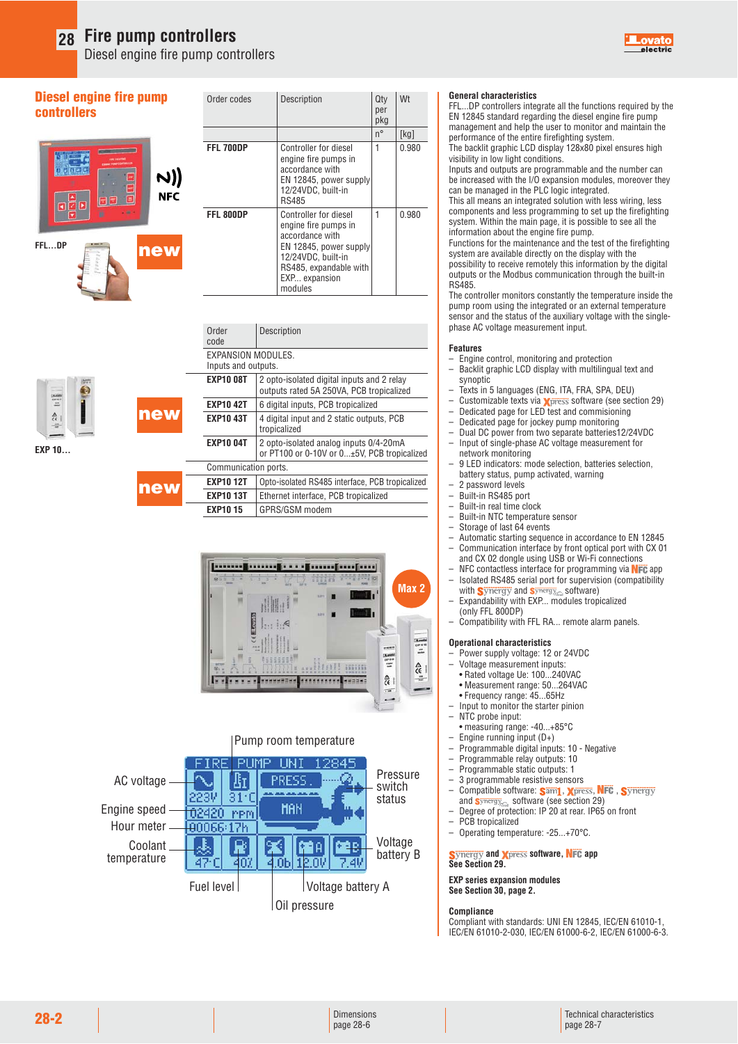Diesel engine fire pump controllers

#### **Diesel engine fire pump controllers**

# N)) **NFC**



**EXP 10...**

HI 숁

**new**

**new**

| Order codes | Description                                                                                                                                                            | Qty<br>per<br>pkg | Wt    |
|-------------|------------------------------------------------------------------------------------------------------------------------------------------------------------------------|-------------------|-------|
|             |                                                                                                                                                                        | n°                | [kg]  |
| FFL 700DP   | <b>Controller for diesel</b><br>engine fire pumps in<br>accordance with<br>EN 12845, power supply<br>12/24VDC, built-in<br>RS485                                       | 1                 | 0.980 |
| FFL 800DP   | Controller for diesel<br>engine fire pumps in<br>accordance with<br>EN 12845, power supply<br>12/24VDC, built-in<br>RS485, expandable with<br>EXP expansion<br>modules | 1                 | 0.980 |

| Order<br>code        | Description                                                                            |
|----------------------|----------------------------------------------------------------------------------------|
| EXPANSION MODULES.   |                                                                                        |
| Inputs and outputs.  |                                                                                        |
| <b>EXP10 08T</b>     | 2 opto-isolated digital inputs and 2 relay<br>outputs rated 5A 250VA, PCB tropicalized |
| <b>EXP10 42T</b>     | 6 digital inputs, PCB tropicalized                                                     |
| <b>EXP10 43T</b>     | 4 digital input and 2 static outputs, PCB<br>tropicalized                              |
| <b>EXP10 04T</b>     | 2 opto-isolated analog inputs 0/4-20mA<br>or PT100 or 0-10V or 0±5V, PCB tropicalized  |
| Communication ports. |                                                                                        |
| <b>EXP10 12T</b>     | Opto-isolated RS485 interface, PCB tropicalized                                        |
| <b>EXP10 13T</b>     | Ethernet interface, PCB tropicalized                                                   |
| <b>EXP10 15</b>      | GPRS/GSM modem                                                                         |





#### **General characteristics**

FFL...DP controllers integrate all the functions required by the EN 12845 standard regarding the diesel engine fire pump management and help the user to monitor and maintain the performance of the entire firefighting system. The backlit graphic LCD display 128x80 pixel ensures high

visibility in low light conditions. Inputs and outputs are programmable and the number can

be increased with the I/O expansion modules, moreover they can be managed in the PLC logic integrated.

This all means an integrated solution with less wiring, less components and less programming to set up the firefighting system. Within the main page, it is possible to see all the information about the engine fire pump.

Functions for the maintenance and the test of the firefighting system are available directly on the display with the possibility to receive remotely this information by the digital outputs or the Modbus communication through the built-in RS485.

The controller monitors constantly the temperature inside the pump room using the integrated or an external temperature sensor and the status of the auxiliary voltage with the singlephase AC voltage measurement input.

#### **Features**

- Engine control, monitoring and protection
- Backlit graphic LCD display with multilingual text and synoptic
- Texts in 5 languages (ENG, ITA, FRA, SPA, DEU)
- $-$  Customizable texts via *Xpress* software (see section 29)
- Dedicated page for LED test and commisioning
- Dedicated page for jockey pump monitoring – Dual DC power from two separate batteries12/24VDC
- Input of single-phase AC voltage measurement for network monitoring
- 9 LED indicators: mode selection, batteries selection, battery status, pump activated, warning
- 2 password levels
- Built-in RS485 port
- Built-in real time clock
- Built-in NTC temperature sensor
- Storage of last 64 events
- Automatic starting sequence in accordance to EN 12845 – Communication interface by front optical port with CX 01 and CX 02 dongle using USB or Wi-Fi connections
- NFC contactless interface for programming via  $NFE$  app<br>– Isolated BS485 serial port for supervision (compatibility – Isolated RS485 serial port for supervision (compatibility
- with **Synergy** and  $\frac{\text{symergy}}{\text{S}}$  software)
- Expandability with EXP... modules tropicalized (only FFL 800DP)
- Compatibility with FFL RA... remote alarm panels.

#### **Operational characteristics**

- Power supply voltage: 12 or 24VDC
- Voltage measurement inputs:
- Rated voltage Ue: 100...240VAC
- Measurement range: 50...264VAC
- Frequency range: 45...65Hz
- Input to monitor the starter pinion
- NTC probe input:
- measuring range: -40...+85°C – Engine running input (D+)
- Programmable digital inputs: 10 Negative
- 
- Programmable relay outputs: 10 – Programmable static outputs: 1
- 3 programmable resistive sensors
- Compatible software: Sam1, Xpress, NFC,
- 
- and Synergy software (see section 29)<br>— Degree of protection: IP 20 at rear. IP65 on front
- PCB tropicalized
- Operating temperature: -25...+70°C.

**Synergy and Xpress software, NFC app See Section 29.**

#### **EXP series expansion modules See Section 30, page 2.**

#### **Compliance**

Compliant with standards: UNI EN 12845, IEC/EN 61010-1, IEC/EN 61010-2-030, IEC/EN 61000-6-2, IEC/EN 61000-6-3.

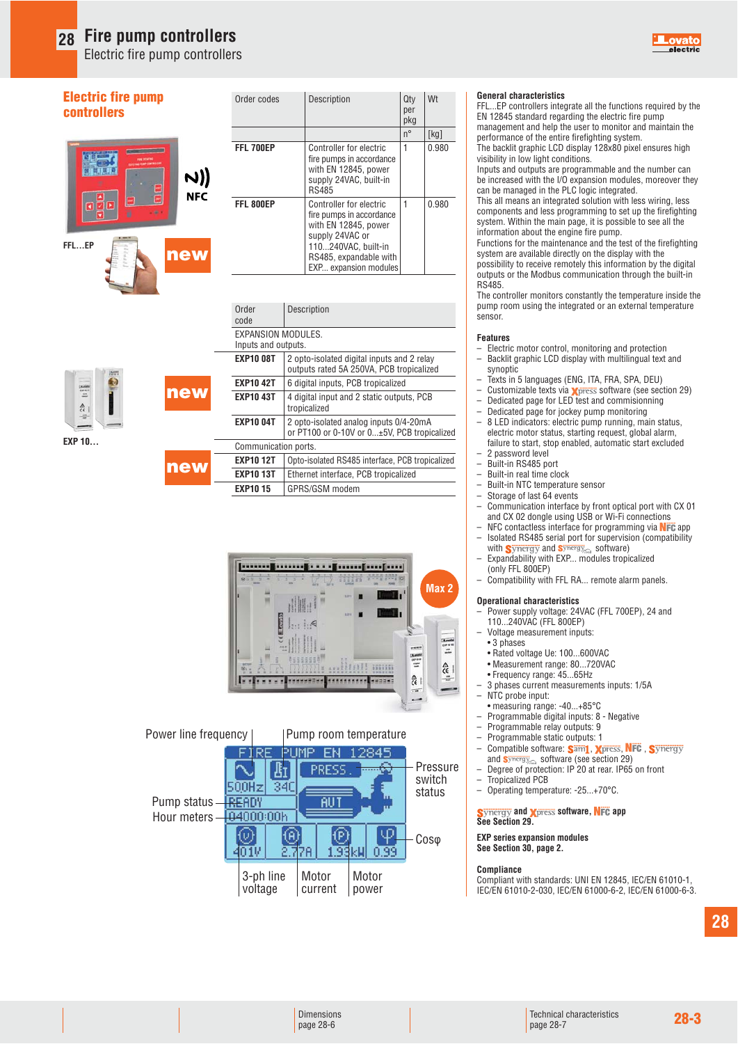Electric fire pump controllers

#### **Electric fire pump controllers**



| Order codes | Description                                                                                                                                                              | Qty<br>per<br>pkg | Wt    |
|-------------|--------------------------------------------------------------------------------------------------------------------------------------------------------------------------|-------------------|-------|
|             |                                                                                                                                                                          | $n^{\circ}$       | [kg]  |
| FFL 700EP   | Controller for electric<br>fire pumps in accordance<br>with EN 12845, power<br>supply 24VAC, built-in<br><b>RS485</b>                                                    | 1                 | 0.980 |
| FFL 800EP   | Controller for electric<br>fire pumps in accordance<br>with EN 12845, power<br>supply 24VAC or<br>110240VAC, built-in<br>RS485, expandable with<br>EXP expansion modules | 1                 | በ 980 |

| <b>EXP 10</b> |  |
|---------------|--|

**Badrie Di Bern** 

|     | Order<br>code                             | Description                                                                            |
|-----|-------------------------------------------|----------------------------------------------------------------------------------------|
|     | EXPANSION MODULES.<br>Inputs and outputs. |                                                                                        |
|     | <b>EXP10 08T</b>                          | 2 opto-isolated digital inputs and 2 relay<br>outputs rated 5A 250VA, PCB tropicalized |
| new | <b>EXP10 42T</b>                          | 6 digital inputs, PCB tropicalized                                                     |
|     | <b>EXP10 43T</b>                          | 4 digital input and 2 static outputs, PCB<br>tropicalized                              |
|     | <b>EXP10 04T</b>                          | 2 opto-isolated analog inputs 0/4-20mA<br>or PT100 or 0-10V or 0±5V, PCB tropicalized  |
|     | Communication ports.                      |                                                                                        |
|     | <b>EXP10 12T</b>                          | Opto-isolated RS485 interface, PCB tropicalized                                        |
| new | <b>EXP10 13T</b>                          | Ethernet interface, PCB tropicalized                                                   |
|     | <b>EXP1015</b>                            | GPRS/GSM modem                                                                         |



#### **General characteristics**

FFL...EP controllers integrate all the functions required by the EN 12845 standard regarding the electric fire pump management and help the user to monitor and maintain the

performance of the entire firefighting system. The backlit graphic LCD display 128x80 pixel ensures high visibility in low light conditions.

Inputs and outputs are programmable and the number can be increased with the I/O expansion modules, moreover they can be managed in the PLC logic integrated.

This all means an integrated solution with less wiring, less components and less programming to set up the firefighting system. Within the main page, it is possible to see all the information about the engine fire pump.

Functions for the maintenance and the test of the firefighting system are available directly on the display with the possibility to receive remotely this information by the digital outputs or the Modbus communication through the built-in RS485.

The controller monitors constantly the temperature inside the pump room using the integrated or an external temperature sensor.

#### **Features**

- Electric motor control, monitoring and protection – Backlit graphic LCD display with multilingual text and
- synoptic
- Texts in 5 languages (ENG, ITA, FRA, SPA, DEU)
- Customizable texts via  $\chi$  press software (see section 29)
- Dedicated page for LED test and commisionning – Dedicated page for jockey pump monitoring
- 8 LED indicators: electric pump running, main status, electric motor status, starting request, global alarm, failure to start, stop enabled, automatic start excluded
- 2 password level
- Built-in RS485 port – Built-in real time clock<br>– Built-in NTC temperatu
- Built-in NTC temperature sensor
- $-$  Storage of last 64 events<br> $-$  Communication interface
- Communication interface by front optical port with CX 01 and CX 02 dongle using USB or Wi-Fi connections
- NFC contactless interface for programming via  $N =$  Isolated BS485 serial port for supervision (compatibility
- Isolated RS485 serial port for supervision (compatibility with  $\mathbf{S}$ ynergy and  $\mathbf{S}$ ynergy<sub>cod</sub> software)
- Expandability with EXP... modules tropicalized (only FFL 800EP)
- Compatibility with FFL RA... remote alarm panels.

#### **Operational characteristics**

- Power supply voltage: 24VAC (FFL 700EP), 24 and 110...240VAC (FFL 800EP)
- Voltage measurement inputs:
- 3 phases
- Rated voltage Ue: 100...600VAC
- Measurement range: 80...720VAC
- Frequency range: 45...65Hz
- 3 phases current measurements inputs: 1/5A
- NTC probe input:
- measuring range: -40...+85°C
- Programmable digital inputs: 8 Negative – Programmable relay outputs: 9
- Programmable static outputs: 1
- Compatible software: Sam1, Xpress, NFC, Synergy
- and  $s$ <sup>ynergy</sup> software (see section 29)
- Degree of protection: IP 20 at rear. IP65 on front
- Tropicalized PCB
- Operating temperature: -25...+70°C.

**Synergy and Xpress software, NFC app See Section 29.**

**EXP series expansion modules See Section 30, page 2.**

#### **Compliance**

Compliant with standards: UNI EN 12845, IEC/EN 61010-1, IEC/EN 61010-2-030, IEC/EN 61000-6-2, IEC/EN 61000-6-3.

| Dimensions |
|------------|
| page 28-6  |

Motor current

2.778

3-ph line voltage

4010

Motor power

0.99

 $1.93k$ u

Cosφ

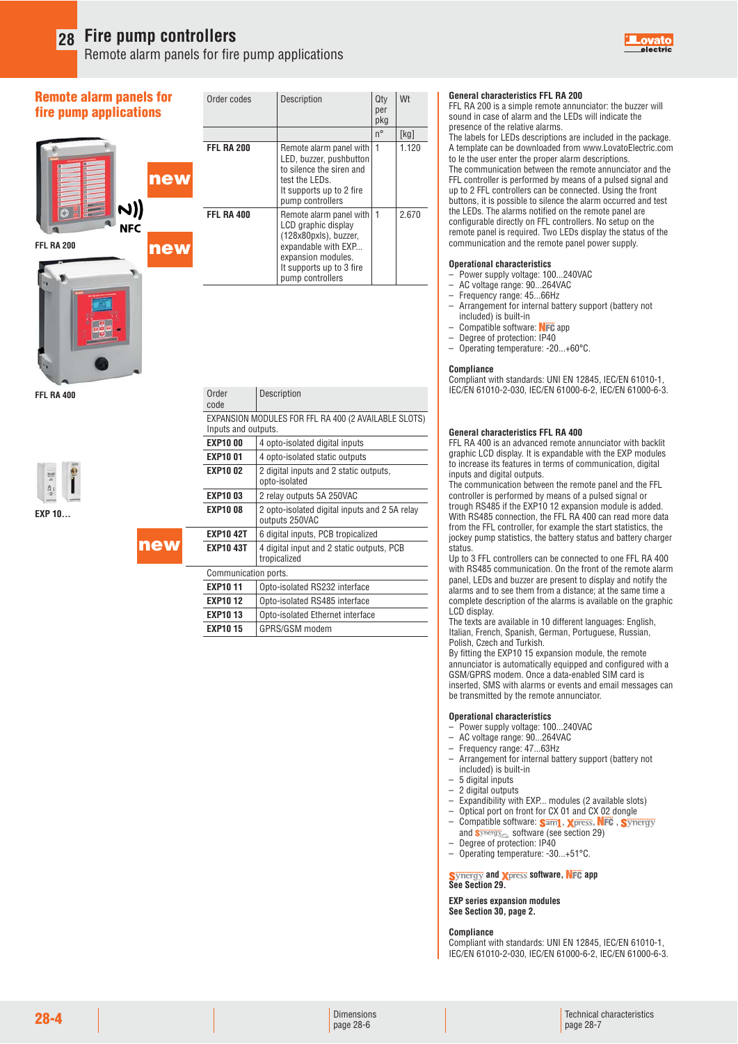**new**

Remote alarm panels for fire pump applications



#### **Remote alarm panels for fire pump applications**



| Order codes       | Description                                                                                                                                                          | Qty<br>per<br>pkg | Wt    |
|-------------------|----------------------------------------------------------------------------------------------------------------------------------------------------------------------|-------------------|-------|
|                   |                                                                                                                                                                      | n°                | [kg]  |
| <b>FFL RA 200</b> | Remote alarm panel with<br>LED, buzzer, pushbutton<br>to silence the siren and<br>test the LEDs.<br>It supports up to 2 fire<br>pump controllers                     | 1                 | 1.120 |
| <b>FFL RA 400</b> | Remote alarm panel with<br>LCD graphic display<br>(128x80pxls), buzzer,<br>expandable with EXP<br>expansion modules.<br>It supports up to 3 fire<br>pump controllers | $\mathbf{1}$      | 2.670 |

**FFL RA 400**

**EXP 10...**

|            | to silence the siren and<br>test the LEDs.<br>It supports up to 2 fire<br>pump controllers                                                                           |    |       |
|------------|----------------------------------------------------------------------------------------------------------------------------------------------------------------------|----|-------|
| FFL RA 400 | Remote alarm panel with<br>LCD graphic display<br>(128x80pxls), buzzer,<br>expandable with EXP<br>expansion modules.<br>It supports up to 3 fire<br>pump controllers | -1 | 2.670 |
|            |                                                                                                                                                                      |    |       |

| Order<br>code        | Description                                                     |
|----------------------|-----------------------------------------------------------------|
| Inputs and outputs.  | EXPANSION MODULES FOR FFL RA 400 (2 AVAILABLE SLOTS)            |
| <b>EXP1000</b>       | 4 opto-isolated digital inputs                                  |
| <b>EXP1001</b>       | 4 opto-isolated static outputs                                  |
| <b>EXP1002</b>       | 2 digital inputs and 2 static outputs,<br>opto-isolated         |
| <b>EXP1003</b>       | 2 relay outputs 5A 250VAC                                       |
| <b>EXP1008</b>       | 2 opto-isolated digital inputs and 2 5A relay<br>outputs 250VAC |
| <b>EXP10 42T</b>     | 6 digital inputs, PCB tropicalized                              |
| EXP10 43T            | 4 digital input and 2 static outputs, PCB<br>tropicalized       |
| Communication ports. |                                                                 |
| <b>EXP1011</b>       | Opto-isolated RS232 interface                                   |
| <b>EXP1012</b>       | Opto-isolated RS485 interface                                   |
| <b>EXP1013</b>       | Opto-isolated Ethernet interface                                |
| <b>EXP10 15</b>      | GPRS/GSM modem                                                  |

#### **General characteristics FFL RA 200**

FFL RA 200 is a simple remote annunciator: the buzzer will sound in case of alarm and the LEDs will indicate the presence of the relative alarms.

The labels for LEDs descriptions are included in the package. A template can be downloaded from www.LovatoElectric.com to le the user enter the proper alarm descriptions. The communication between the remote annunciator and the

FFL controller is performed by means of a pulsed signal and up to 2 FFL controllers can be connected. Using the front buttons, it is possible to silence the alarm occurred and test the LEDs. The alarms notified on the remote panel are configurable directly on FFL controllers. No setup on the remote panel is required. Two LEDs display the status of the communication and the remote panel power supply.

#### **Operational characteristics**

- Power supply voltage: 100...240VAC
- AC voltage range: 90...264VAC
- Frequency range: 45...66Hz
- Arrangement for internal battery support (battery not included) is built-in
- Compatible software: NFC app
- Degree of protection: IP40
- Operating temperature: -20...+60°C.

#### **Compliance**

Compliant with standards: UNI EN 12845, IEC/EN 61010-1, IEC/EN 61010-2-030, IEC/EN 61000-6-2, IEC/EN 61000-6-3.

#### **General characteristics FFL RA 400**

FFL RA 400 is an advanced remote annunciator with backlit graphic LCD display. It is expandable with the EXP modules to increase its features in terms of communication, digital inputs and digital outputs.

The communication between the remote panel and the FFL controller is performed by means of a pulsed signal or trough RS485 if the EXP10 12 expansion module is added. With RS485 connection, the FFL RA 400 can read more data from the FFL controller, for example the start statistics, the jockey pump statistics, the battery status and battery charger status.

Up to 3 FFL controllers can be connected to one FFL RA 400 with RS485 communication. On the front of the remote alarm panel, LEDs and buzzer are present to display and notify the alarms and to see them from a distance; at the same time a complete description of the alarms is available on the graphic LCD display.

The texts are available in 10 different languages: English, Italian, French, Spanish, German, Portuguese, Russian, Polish, Czech and Turkish.

By fitting the EXP10 15 expansion module, the remote annunciator is automatically equipped and configured with a GSM/GPRS modem. Once a data-enabled SIM card is inserted, SMS with alarms or events and email messages can be transmitted by the remote annunciator.

#### **Operational characteristics**

- Power supply voltage: 100...240VAC
- AC voltage range: 90...264VAC
- Frequency range: 47...63Hz
- Arrangement for internal battery support (battery not included) is built-in
- 5 digital inputs
- 2 digital outputs
- Expandibility with EXP... modules (2 available slots) – Optical port on front for CX 01 and CX 02 dongle
- 
- Compatible software: Sam1, Xpress, NFC, and <mark>s</mark>ynergy<sub>cal</sub> software (see section 29)<br>— Degree of protection: IP40
- Operating temperature: -30...+51°C.
- 

**S**ynergy and **X**press software, NFC app **See Section 29.**

**EXP series expansion modules See Section 30, page 2.**

**Compliance**

Compliant with standards: UNI EN 12845, IEC/EN 61010-1, IEC/EN 61010-2-030, IEC/EN 61000-6-2, IEC/EN 61000-6-3.

Dimensions page 28-6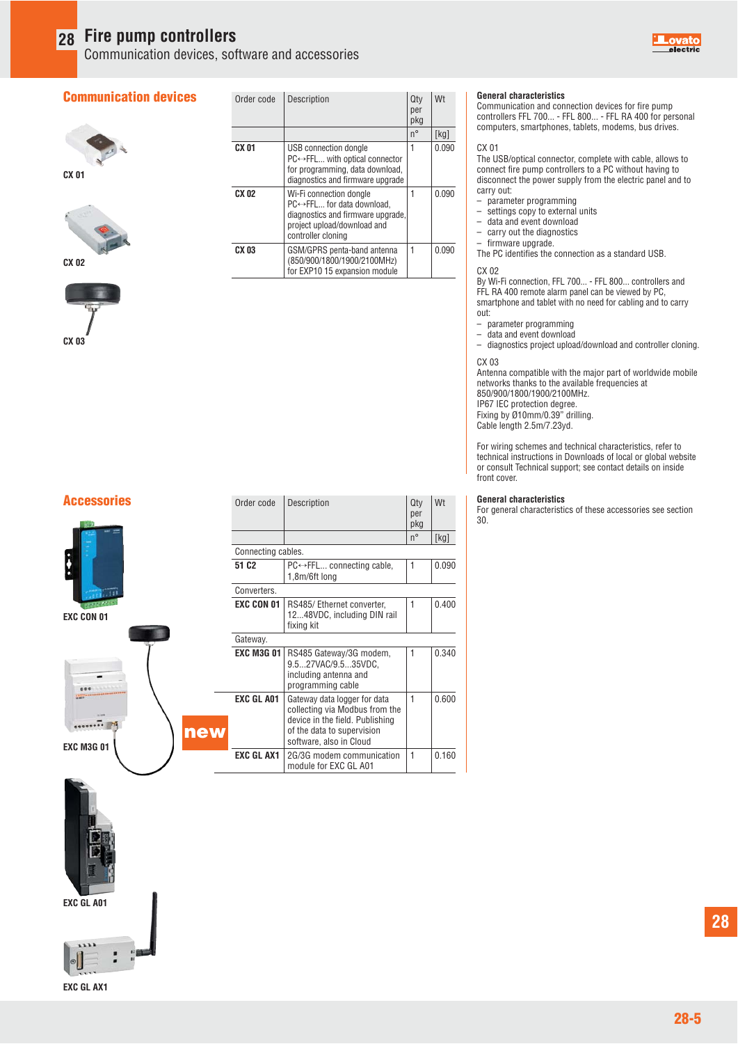Communication devices, software and accessories

#### **Communication devices**







| Order code | Description                                                                                                                                     | Qty<br>per<br>pkg | Wt    |
|------------|-------------------------------------------------------------------------------------------------------------------------------------------------|-------------------|-------|
|            |                                                                                                                                                 | $n^{\circ}$       | [kg]  |
| CX 01      | USB connection dongle<br>$PC \leftrightarrow FFL$ with optical connector<br>for programming, data download,<br>diagnostics and firmware upgrade | 1                 | 0.090 |
| CX 02      | Wi-Fi connection dongle<br>PC←FFL for data download.<br>diagnostics and firmware upgrade,<br>project upload/download and<br>controller cloning  | 1                 | 0.090 |
| CX 03      | GSM/GPRS penta-band antenna<br>(850/900/1800/1900/2100MHz)<br>for EXP10 15 expansion module                                                     | 1                 | 0.090 |



#### **General characteristics**

Communication and connection devices for fire pump controllers FFL 700... - FFL 800... - FFL RA 400 for personal computers, smartphones, tablets, modems, bus drives.

#### CX 01

The USB/optical connector, complete with cable, allows to connect fire pump controllers to a PC without having to disconnect the power supply from the electric panel and to carry out:

- $-$  parameter programming<br> $-$  settings copy to external
- $-$  settings copy to external units<br> $-$  data and event download
- data and event download
- carry out the diagnostics

firmware upgrade. The PC identifies the connection as a standard USB.

#### CX 02

By Wi-Fi connection, FFL 700... - FFL 800... controllers and FFL RA 400 remote alarm panel can be viewed by PC, smartphone and tablet with no need for cabling and to carry out:

- 
- $-$  parameter programming<br> $-$  data and event download – data and event download

– diagnostics project upload/download and controller cloning.

#### CX 03

Antenna compatible with the major part of worldwide mobile networks thanks to the available frequencies at 850/900/1800/1900/2100MHz.

IP67 IEC protection degree. Fixing by Ø10mm/0.39" drilling. Cable length 2.5m/7.23yd.

For wiring schemes and technical characteristics, refer to technical instructions in Downloads of local or global website or consult Technical support; see contact details on inside front cover.

**Accessories General characteristics General characteristics General characteristics General characteristics General characteristics** For general characteristics of these accessories see section 30.



**EXC CON 01**



**new** pkg and the state of the state of the state of the state of the state of the state of the state of the state o na ang pangalang pangalang pangalang pangalang pangalang pangalang pangalang pangalang pangalang pang pangalan Connecting cables. **51 C2** PC←→FFL... connecting cable, 1 0.090 1,8m/6ft long Converters. **EXC CON 01** RS485/ Ethernet converter, 1 0.400 12...48VDC, including DIN rail fixing kit Gateway. **EXC M3G 01** RS485 Gateway/3G modem,  $\begin{vmatrix} 1 & 0.340 \end{vmatrix}$  9.5...27VAC/9.5...35VDC, including antenna and programming cable **EXC GL A01** Gateway data logger for data  $1$  0.600 collecting via Modbus from the device in the field. Publishing of the data to supervision software, also in Cloud **EXC GL AX1** 2G/3G modem communication 1 0.160 module for EXC GL A01

Description per la personalità della contratta della contratta della contratta della contratta della contratta della contra





**EXC GL A01**



**EXC GL AX1**

**28**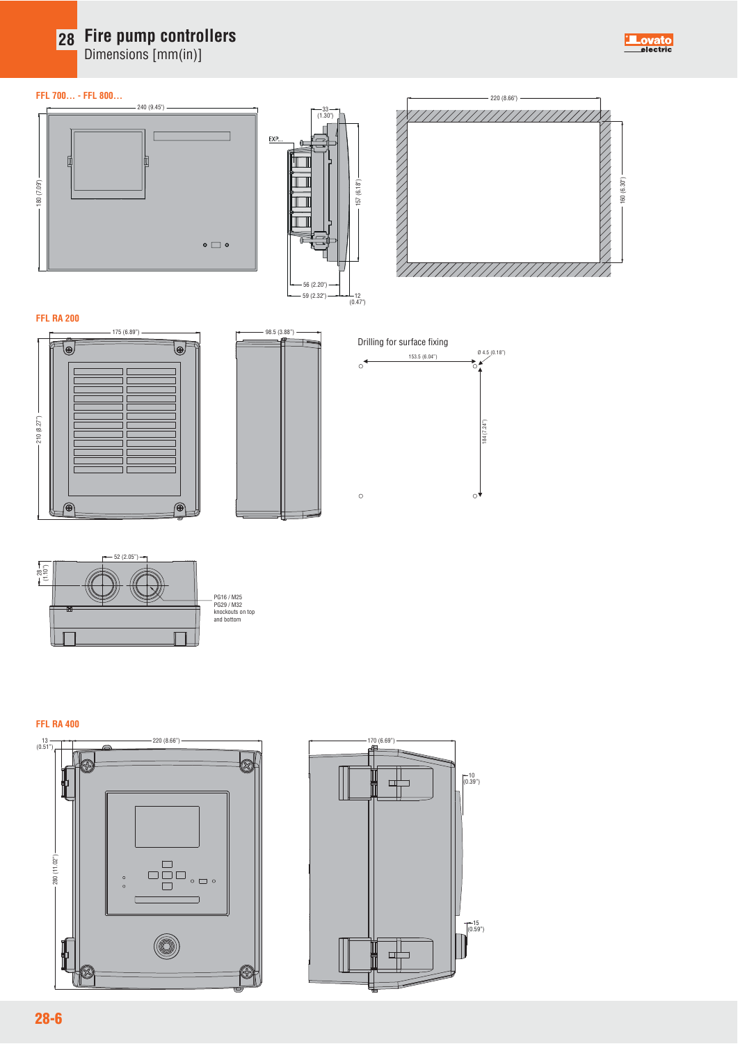Dimensions [mm(in)]

#### **FFL 700... - FFL 800...**







**ovato**<br>electric

#### **FFL RA 200**









#### **FFL RA 400**





**28-6**